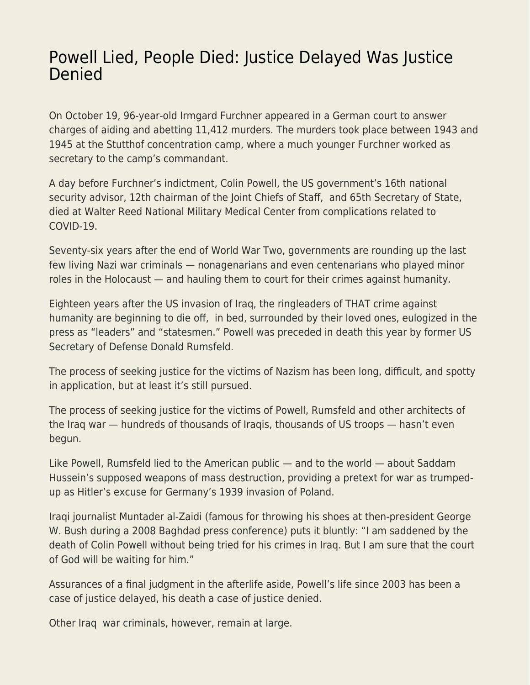## [Powell Lied, People Died: Justice Delayed Was Justice](https://everything-voluntary.com/powell-lied-people-died-justice-delayed-was-justice-denied) **[Denied](https://everything-voluntary.com/powell-lied-people-died-justice-delayed-was-justice-denied)**

On October 19, 96-year-old Irmgard Furchner appeared in a German court to answer charges of aiding and abetting 11,412 murders. The murders took place between 1943 and 1945 at the Stutthof concentration camp, where a much younger Furchner worked as secretary to the camp's commandant.

A day before Furchner's indictment, Colin Powell, the US government's 16th national security advisor, 12th chairman of the Joint Chiefs of Staff, and 65th Secretary of State, died at Walter Reed National Military Medical Center from complications related to COVID-19.

Seventy-six years after the end of World War Two, governments are rounding up the last few living Nazi war criminals — nonagenarians and even centenarians who played minor roles in the Holocaust — and hauling them to court for their crimes against humanity.

Eighteen years after the US invasion of Iraq, the ringleaders of THAT crime against humanity are beginning to die off, in bed, surrounded by their loved ones, eulogized in the press as "leaders" and "statesmen." Powell was preceded in death this year by former US Secretary of Defense Donald Rumsfeld.

The process of seeking justice for the victims of Nazism has been long, difficult, and spotty in application, but at least it's still pursued.

The process of seeking justice for the victims of Powell, Rumsfeld and other architects of the Iraq war — hundreds of thousands of Iraqis, thousands of US troops — hasn't even begun.

Like Powell, Rumsfeld lied to the American public — and to the world — about Saddam Hussein's supposed weapons of mass destruction, providing a pretext for war as trumpedup as Hitler's excuse for Germany's 1939 invasion of Poland.

Iraqi journalist Muntader al-Zaidi (famous for throwing his shoes at then-president George W. Bush during a 2008 Baghdad press conference) puts it bluntly: "I am saddened by the death of Colin Powell without being tried for his crimes in Iraq. But I am sure that the court of God will be waiting for him."

Assurances of a final judgment in the afterlife aside, Powell's life since 2003 has been a case of justice delayed, his death a case of justice denied.

Other Iraq war criminals, however, remain at large.